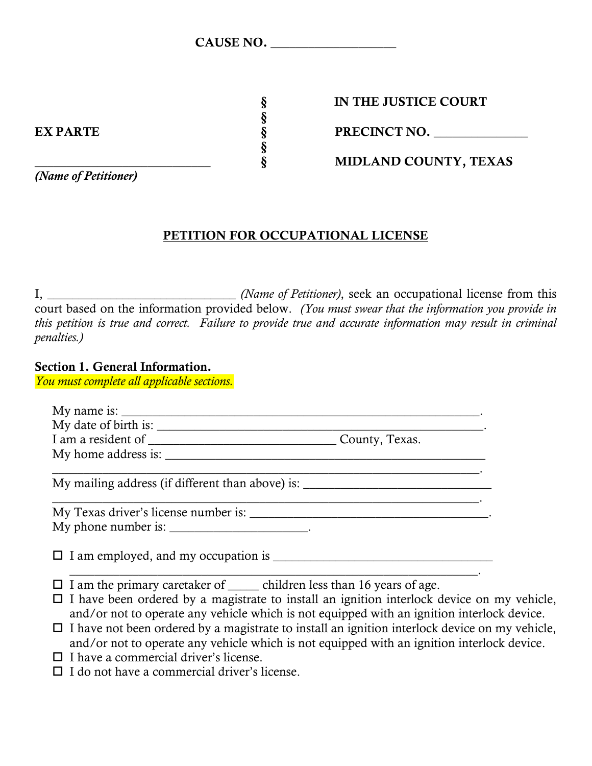| <b>CAUSE NO.</b> |  |
|------------------|--|
|------------------|--|

§ IN THE JUSTICE COURT

EX PARTE  $\S$  PRECINCT NO.

\_\_\_\_\_\_\_\_\_\_\_\_\_\_\_\_\_\_\_\_\_\_\_\_\_\_\_\_ § MIDLAND COUNTY, TEXAS

§

§

I, \_\_\_\_\_\_\_\_\_\_\_\_\_\_\_\_\_\_\_\_\_\_\_\_\_\_\_\_\_\_ *(Name of Petitioner)*, seek an occupational license from this court based on the information provided below. *(You must swear that the information you provide in this petition is true and correct. Failure to provide true and accurate information may result in criminal penalties.)*

PETITION FOR OCCUPATIONAL LICENSE

### Section 1. General Information.

*You must complete all applicable sections.*

| My home address is:                                                                                   |                                                                                                                                                                                                 |  |
|-------------------------------------------------------------------------------------------------------|-------------------------------------------------------------------------------------------------------------------------------------------------------------------------------------------------|--|
|                                                                                                       | My mailing address (if different than above) is: _______________________________                                                                                                                |  |
|                                                                                                       |                                                                                                                                                                                                 |  |
| My phone number is: $\frac{1}{2}$                                                                     |                                                                                                                                                                                                 |  |
|                                                                                                       | $\Box$ I am employed, and my occupation is $\Box$                                                                                                                                               |  |
| $\Box$ I am the primary caretaker of $\_\_\_$ children less than 16 years of age.                     | $\Box$ I have been ordered by a magistrate to install an ignition interlock device on my vehicle,<br>and/or not to operate any vehicle which is not equipped with an ignition interlock device. |  |
| $\Box$ I have not been ordered by a magistrate to install an ignition interlock device on my vehicle, |                                                                                                                                                                                                 |  |

- and/or not to operate any vehicle which is not equipped with an ignition interlock device.
- $\Box$  I have a commercial driver's license.
- $\Box$  I do not have a commercial driver's license.

*(Name of Petitioner)*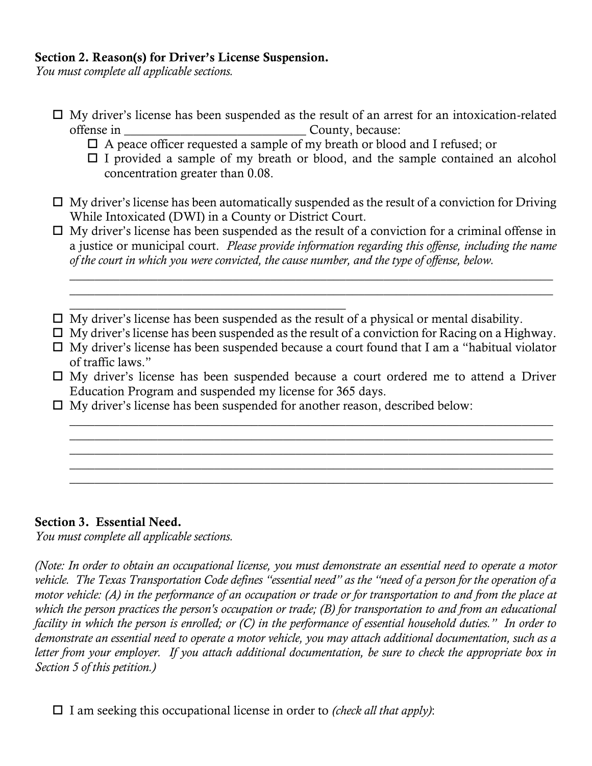## Section 2. Reason(s) for Driver's License Suspension.

*You must complete all applicable sections.*

- $\Box$  My driver's license has been suspended as the result of an arrest for an intoxication-related offense in \_\_\_\_\_\_\_\_\_\_\_\_\_\_\_\_\_\_\_\_\_\_\_\_\_\_\_\_\_ County, because:
	- $\Box$  A peace officer requested a sample of my breath or blood and I refused; or
	- $\Box$  I provided a sample of my breath or blood, and the sample contained an alcohol concentration greater than 0.08.
- $\Box$  My driver's license has been automatically suspended as the result of a conviction for Driving While Intoxicated (DWI) in a County or District Court.
- $\Box$  My driver's license has been suspended as the result of a conviction for a criminal offense in a justice or municipal court. *Please provide information regarding this offense, including the name of the court in which you were convicted, the cause number, and the type of offense, below.*

\_\_\_\_\_\_\_\_\_\_\_\_\_\_\_\_\_\_\_\_\_\_\_\_\_\_\_\_\_\_\_\_\_\_\_\_\_\_\_\_\_\_\_\_\_\_\_\_\_\_\_\_\_\_\_\_\_\_\_\_\_\_\_\_\_\_\_\_\_\_\_\_\_\_\_\_\_ \_\_\_\_\_\_\_\_\_\_\_\_\_\_\_\_\_\_\_\_\_\_\_\_\_\_\_\_\_\_\_\_\_\_\_\_\_\_\_\_\_\_\_\_\_\_\_\_\_\_\_\_\_\_\_\_\_\_\_\_\_\_\_\_\_\_\_\_\_\_\_\_\_\_\_\_\_

- $\Box$  My driver's license has been suspended as the result of a physical or mental disability.
- $\Box$  My driver's license has been suspended as the result of a conviction for Racing on a Highway.
- $\Box$  My driver's license has been suspended because a court found that I am a "habitual violator" of traffic laws."
- $\Box$  My driver's license has been suspended because a court ordered me to attend a Driver Education Program and suspended my license for 365 days.

\_\_\_\_\_\_\_\_\_\_\_\_\_\_\_\_\_\_\_\_\_\_\_\_\_\_\_\_\_\_\_\_\_\_\_\_\_\_\_\_\_\_\_\_\_\_\_\_\_\_\_\_\_\_\_\_\_\_\_\_\_\_\_\_\_\_\_\_\_\_\_\_\_\_\_\_\_ \_\_\_\_\_\_\_\_\_\_\_\_\_\_\_\_\_\_\_\_\_\_\_\_\_\_\_\_\_\_\_\_\_\_\_\_\_\_\_\_\_\_\_\_\_\_\_\_\_\_\_\_\_\_\_\_\_\_\_\_\_\_\_\_\_\_\_\_\_\_\_\_\_\_\_\_\_ \_\_\_\_\_\_\_\_\_\_\_\_\_\_\_\_\_\_\_\_\_\_\_\_\_\_\_\_\_\_\_\_\_\_\_\_\_\_\_\_\_\_\_\_\_\_\_\_\_\_\_\_\_\_\_\_\_\_\_\_\_\_\_\_\_\_\_\_\_\_\_\_\_\_\_\_\_ \_\_\_\_\_\_\_\_\_\_\_\_\_\_\_\_\_\_\_\_\_\_\_\_\_\_\_\_\_\_\_\_\_\_\_\_\_\_\_\_\_\_\_\_\_\_\_\_\_\_\_\_\_\_\_\_\_\_\_\_\_\_\_\_\_\_\_\_\_\_\_\_\_\_\_\_\_ \_\_\_\_\_\_\_\_\_\_\_\_\_\_\_\_\_\_\_\_\_\_\_\_\_\_\_\_\_\_\_\_\_\_\_\_\_\_\_\_\_\_\_\_\_\_\_\_\_\_\_\_\_\_\_\_\_\_\_\_\_\_\_\_\_\_\_\_\_\_\_\_\_\_\_\_\_

 $\Box$  My driver's license has been suspended for another reason, described below:

\_\_\_\_\_\_\_\_\_\_\_\_\_\_\_\_\_\_\_\_\_\_\_\_\_\_\_\_\_\_\_\_\_\_\_\_\_\_\_\_\_\_\_\_

#### Section 3. Essential Need.

*You must complete all applicable sections.*

*(Note: In order to obtain an occupational license, you must demonstrate an essential need to operate a motor vehicle. The Texas Transportation Code defines "essential need" as the "need of a person for the operation of a motor vehicle: (A) in the performance of an occupation or trade or for transportation to and from the place at* which the person practices the person's occupation or trade; (B) for transportation to and from an educational *facility in which the person is enrolled; or (C) in the performance of essential household duties." In order to demonstrate an essential need to operate a motor vehicle, you may attach additional documentation, such as a*  letter from your employer. If you attach additional documentation, be sure to check the appropriate box in *Section 5 of this petition.)*

I am seeking this occupational license in order to *(check all that apply)*: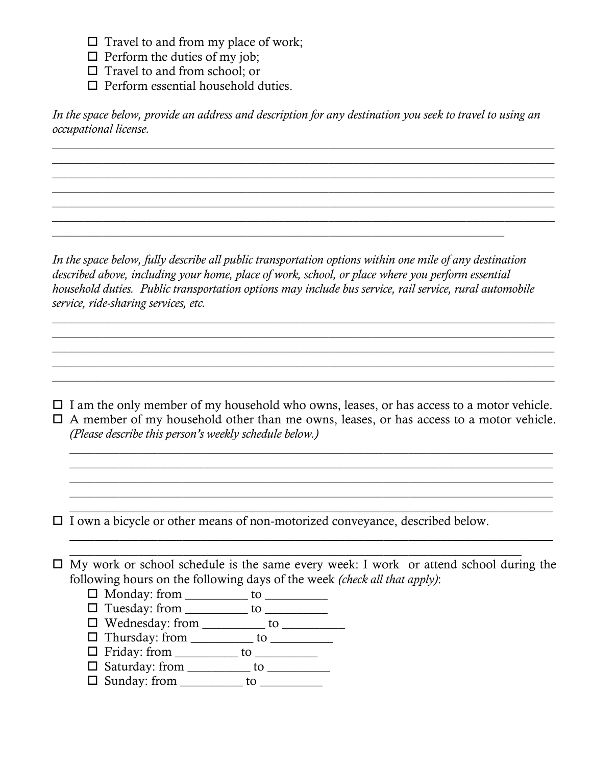$\Box$  Travel to and from my place of work;

 $\Box$  Perform the duties of my job;

 $\Box$  Travel to and from school; or

 $\Box$  Perform essential household duties.

*In the space below, provide an address and description for any destination you seek to travel to using an occupational license.*

 $\mathcal{L}_\mathcal{L} = \{ \mathcal{L}_\mathcal{L} = \{ \mathcal{L}_\mathcal{L} = \{ \mathcal{L}_\mathcal{L} = \{ \mathcal{L}_\mathcal{L} = \{ \mathcal{L}_\mathcal{L} = \{ \mathcal{L}_\mathcal{L} = \{ \mathcal{L}_\mathcal{L} = \{ \mathcal{L}_\mathcal{L} = \{ \mathcal{L}_\mathcal{L} = \{ \mathcal{L}_\mathcal{L} = \{ \mathcal{L}_\mathcal{L} = \{ \mathcal{L}_\mathcal{L} = \{ \mathcal{L}_\mathcal{L} = \{ \mathcal{L}_\mathcal{$  $\mathcal{L}_\mathcal{L} = \{ \mathcal{L}_\mathcal{L} = \{ \mathcal{L}_\mathcal{L} = \{ \mathcal{L}_\mathcal{L} = \{ \mathcal{L}_\mathcal{L} = \{ \mathcal{L}_\mathcal{L} = \{ \mathcal{L}_\mathcal{L} = \{ \mathcal{L}_\mathcal{L} = \{ \mathcal{L}_\mathcal{L} = \{ \mathcal{L}_\mathcal{L} = \{ \mathcal{L}_\mathcal{L} = \{ \mathcal{L}_\mathcal{L} = \{ \mathcal{L}_\mathcal{L} = \{ \mathcal{L}_\mathcal{L} = \{ \mathcal{L}_\mathcal{$  $\mathcal{L}_\mathcal{L} = \{ \mathcal{L}_\mathcal{L} = \{ \mathcal{L}_\mathcal{L} = \{ \mathcal{L}_\mathcal{L} = \{ \mathcal{L}_\mathcal{L} = \{ \mathcal{L}_\mathcal{L} = \{ \mathcal{L}_\mathcal{L} = \{ \mathcal{L}_\mathcal{L} = \{ \mathcal{L}_\mathcal{L} = \{ \mathcal{L}_\mathcal{L} = \{ \mathcal{L}_\mathcal{L} = \{ \mathcal{L}_\mathcal{L} = \{ \mathcal{L}_\mathcal{L} = \{ \mathcal{L}_\mathcal{L} = \{ \mathcal{L}_\mathcal{$  $\mathcal{L}_\mathcal{L} = \{ \mathcal{L}_\mathcal{L} = \{ \mathcal{L}_\mathcal{L} = \{ \mathcal{L}_\mathcal{L} = \{ \mathcal{L}_\mathcal{L} = \{ \mathcal{L}_\mathcal{L} = \{ \mathcal{L}_\mathcal{L} = \{ \mathcal{L}_\mathcal{L} = \{ \mathcal{L}_\mathcal{L} = \{ \mathcal{L}_\mathcal{L} = \{ \mathcal{L}_\mathcal{L} = \{ \mathcal{L}_\mathcal{L} = \{ \mathcal{L}_\mathcal{L} = \{ \mathcal{L}_\mathcal{L} = \{ \mathcal{L}_\mathcal{$  $\mathcal{L}_\mathcal{L} = \{ \mathcal{L}_\mathcal{L} = \{ \mathcal{L}_\mathcal{L} = \{ \mathcal{L}_\mathcal{L} = \{ \mathcal{L}_\mathcal{L} = \{ \mathcal{L}_\mathcal{L} = \{ \mathcal{L}_\mathcal{L} = \{ \mathcal{L}_\mathcal{L} = \{ \mathcal{L}_\mathcal{L} = \{ \mathcal{L}_\mathcal{L} = \{ \mathcal{L}_\mathcal{L} = \{ \mathcal{L}_\mathcal{L} = \{ \mathcal{L}_\mathcal{L} = \{ \mathcal{L}_\mathcal{L} = \{ \mathcal{L}_\mathcal{$  $\mathcal{L}_\mathcal{L} = \{ \mathcal{L}_\mathcal{L} = \{ \mathcal{L}_\mathcal{L} = \{ \mathcal{L}_\mathcal{L} = \{ \mathcal{L}_\mathcal{L} = \{ \mathcal{L}_\mathcal{L} = \{ \mathcal{L}_\mathcal{L} = \{ \mathcal{L}_\mathcal{L} = \{ \mathcal{L}_\mathcal{L} = \{ \mathcal{L}_\mathcal{L} = \{ \mathcal{L}_\mathcal{L} = \{ \mathcal{L}_\mathcal{L} = \{ \mathcal{L}_\mathcal{L} = \{ \mathcal{L}_\mathcal{L} = \{ \mathcal{L}_\mathcal{$ 

*In the space below, fully describe all public transportation options within one mile of any destination described above, including your home, place of work, school, or place where you perform essential household duties. Public transportation options may include bus service, rail service, rural automobile service, ride-sharing services, etc.* 

 $\mathcal{L}_\mathcal{L} = \{ \mathcal{L}_\mathcal{L} = \{ \mathcal{L}_\mathcal{L} = \{ \mathcal{L}_\mathcal{L} = \{ \mathcal{L}_\mathcal{L} = \{ \mathcal{L}_\mathcal{L} = \{ \mathcal{L}_\mathcal{L} = \{ \mathcal{L}_\mathcal{L} = \{ \mathcal{L}_\mathcal{L} = \{ \mathcal{L}_\mathcal{L} = \{ \mathcal{L}_\mathcal{L} = \{ \mathcal{L}_\mathcal{L} = \{ \mathcal{L}_\mathcal{L} = \{ \mathcal{L}_\mathcal{L} = \{ \mathcal{L}_\mathcal{$  $\mathcal{L}_\mathcal{L} = \{ \mathcal{L}_\mathcal{L} = \{ \mathcal{L}_\mathcal{L} = \{ \mathcal{L}_\mathcal{L} = \{ \mathcal{L}_\mathcal{L} = \{ \mathcal{L}_\mathcal{L} = \{ \mathcal{L}_\mathcal{L} = \{ \mathcal{L}_\mathcal{L} = \{ \mathcal{L}_\mathcal{L} = \{ \mathcal{L}_\mathcal{L} = \{ \mathcal{L}_\mathcal{L} = \{ \mathcal{L}_\mathcal{L} = \{ \mathcal{L}_\mathcal{L} = \{ \mathcal{L}_\mathcal{L} = \{ \mathcal{L}_\mathcal{$  $\mathcal{L}_\mathcal{L} = \{ \mathcal{L}_\mathcal{L} = \{ \mathcal{L}_\mathcal{L} = \{ \mathcal{L}_\mathcal{L} = \{ \mathcal{L}_\mathcal{L} = \{ \mathcal{L}_\mathcal{L} = \{ \mathcal{L}_\mathcal{L} = \{ \mathcal{L}_\mathcal{L} = \{ \mathcal{L}_\mathcal{L} = \{ \mathcal{L}_\mathcal{L} = \{ \mathcal{L}_\mathcal{L} = \{ \mathcal{L}_\mathcal{L} = \{ \mathcal{L}_\mathcal{L} = \{ \mathcal{L}_\mathcal{L} = \{ \mathcal{L}_\mathcal{$  $\mathcal{L}_\mathcal{L} = \{ \mathcal{L}_\mathcal{L} = \{ \mathcal{L}_\mathcal{L} = \{ \mathcal{L}_\mathcal{L} = \{ \mathcal{L}_\mathcal{L} = \{ \mathcal{L}_\mathcal{L} = \{ \mathcal{L}_\mathcal{L} = \{ \mathcal{L}_\mathcal{L} = \{ \mathcal{L}_\mathcal{L} = \{ \mathcal{L}_\mathcal{L} = \{ \mathcal{L}_\mathcal{L} = \{ \mathcal{L}_\mathcal{L} = \{ \mathcal{L}_\mathcal{L} = \{ \mathcal{L}_\mathcal{L} = \{ \mathcal{L}_\mathcal{$ \_\_\_\_\_\_\_\_\_\_\_\_\_\_\_\_\_\_\_\_\_\_\_\_\_\_\_\_\_\_\_\_\_\_\_\_\_\_\_\_\_\_\_\_\_\_\_\_\_\_\_\_\_\_\_\_\_\_\_\_\_\_\_\_\_\_\_\_\_\_\_\_\_\_\_\_\_\_\_\_

 $\overline{a_1}$  , and the contribution of the contribution of the contribution of the contribution of the contribution of the contribution of the contribution of the contribution of the contribution of the contribution of the

 $\Box$  I am the only member of my household who owns, leases, or has access to a motor vehicle.  $\Box$  A member of my household other than me owns, leases, or has access to a motor vehicle. *(Please describe this person's weekly schedule below.)*

\_\_\_\_\_\_\_\_\_\_\_\_\_\_\_\_\_\_\_\_\_\_\_\_\_\_\_\_\_\_\_\_\_\_\_\_\_\_\_\_\_\_\_\_\_\_\_\_\_\_\_\_\_\_\_\_\_\_\_\_\_\_\_\_\_\_\_\_\_\_\_\_\_\_\_\_\_ \_\_\_\_\_\_\_\_\_\_\_\_\_\_\_\_\_\_\_\_\_\_\_\_\_\_\_\_\_\_\_\_\_\_\_\_\_\_\_\_\_\_\_\_\_\_\_\_\_\_\_\_\_\_\_\_\_\_\_\_\_\_\_\_\_\_\_\_\_\_\_\_\_\_\_\_\_ \_\_\_\_\_\_\_\_\_\_\_\_\_\_\_\_\_\_\_\_\_\_\_\_\_\_\_\_\_\_\_\_\_\_\_\_\_\_\_\_\_\_\_\_\_\_\_\_\_\_\_\_\_\_\_\_\_\_\_\_\_\_\_\_\_\_\_\_\_\_\_\_\_\_\_\_\_ \_\_\_\_\_\_\_\_\_\_\_\_\_\_\_\_\_\_\_\_\_\_\_\_\_\_\_\_\_\_\_\_\_\_\_\_\_\_\_\_\_\_\_\_\_\_\_\_\_\_\_\_\_\_\_\_\_\_\_\_\_\_\_\_\_\_\_\_\_\_\_\_\_\_\_\_\_ \_\_\_\_\_\_\_\_\_\_\_\_\_\_\_\_\_\_\_\_\_\_\_\_\_\_\_\_\_\_\_\_\_\_\_\_\_\_\_\_\_\_\_\_\_\_\_\_\_\_\_\_\_\_\_\_\_\_\_\_\_\_\_\_\_\_\_\_\_\_\_\_\_\_\_\_\_

 $\Box$  I own a bicycle or other means of non-motorized conveyance, described below.

 $\Box$  My work or school schedule is the same every week: I work or attend school during the following hours on the following days of the week *(check all that apply)*:

 $\_$  , and the set of the set of the set of the set of the set of the set of the set of the set of the set of the set of the set of the set of the set of the set of the set of the set of the set of the set of the set of th

\_\_\_\_\_\_\_\_\_\_\_\_\_\_\_\_\_\_\_\_\_\_\_\_\_\_\_\_\_\_\_\_\_\_\_\_\_\_\_\_\_\_\_\_\_\_\_\_\_\_\_\_\_\_\_\_\_\_\_\_\_\_\_\_\_\_\_\_\_\_\_\_\_\_\_\_\_

- Monday: from \_\_\_\_\_\_\_\_\_\_ to \_\_\_\_\_\_\_\_\_\_
- □ Tuesday: from \_\_\_\_\_\_\_\_\_\_ to \_\_\_\_\_\_\_\_\_\_
- Wednesday: from \_\_\_\_\_\_\_\_\_\_ to \_\_\_\_\_\_\_\_\_\_
- Thursday: from \_\_\_\_\_\_\_\_\_\_ to \_\_\_\_\_\_\_\_\_\_
- $\Box$  Friday: from \_\_\_\_\_\_\_\_\_\_\_ to \_\_\_\_\_\_\_\_\_\_\_
- □ Saturday: from \_\_\_\_\_\_\_\_\_\_ to \_\_\_\_\_\_\_\_\_\_
- Sunday: from \_\_\_\_\_\_\_\_\_\_ to \_\_\_\_\_\_\_\_\_\_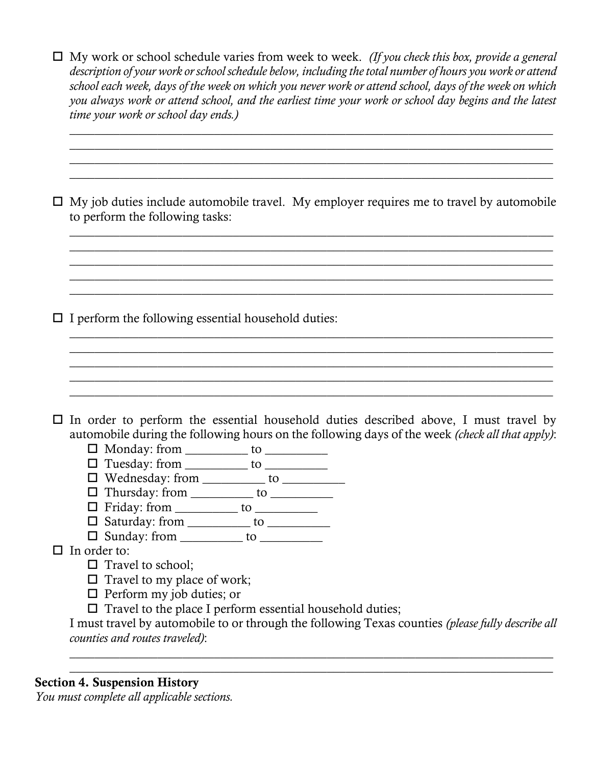| $\Box$ My work or school schedule varies from week to week. (If you check this box, provide a general     |
|-----------------------------------------------------------------------------------------------------------|
| description of your work or school schedule below, including the total number of hours you work or attend |
| school each week, days of the week on which you never work or attend school, days of the week on which    |
| you always work or attend school, and the earliest time your work or school day begins and the latest     |
| <i>time your work or school day ends.)</i>                                                                |

\_\_\_\_\_\_\_\_\_\_\_\_\_\_\_\_\_\_\_\_\_\_\_\_\_\_\_\_\_\_\_\_\_\_\_\_\_\_\_\_\_\_\_\_\_\_\_\_\_\_\_\_\_\_\_\_\_\_\_\_\_\_\_\_\_\_\_\_\_\_\_\_\_\_\_\_\_ \_\_\_\_\_\_\_\_\_\_\_\_\_\_\_\_\_\_\_\_\_\_\_\_\_\_\_\_\_\_\_\_\_\_\_\_\_\_\_\_\_\_\_\_\_\_\_\_\_\_\_\_\_\_\_\_\_\_\_\_\_\_\_\_\_\_\_\_\_\_\_\_\_\_\_\_\_ \_\_\_\_\_\_\_\_\_\_\_\_\_\_\_\_\_\_\_\_\_\_\_\_\_\_\_\_\_\_\_\_\_\_\_\_\_\_\_\_\_\_\_\_\_\_\_\_\_\_\_\_\_\_\_\_\_\_\_\_\_\_\_\_\_\_\_\_\_\_\_\_\_\_\_\_\_ \_\_\_\_\_\_\_\_\_\_\_\_\_\_\_\_\_\_\_\_\_\_\_\_\_\_\_\_\_\_\_\_\_\_\_\_\_\_\_\_\_\_\_\_\_\_\_\_\_\_\_\_\_\_\_\_\_\_\_\_\_\_\_\_\_\_\_\_\_\_\_\_\_\_\_\_\_

 $\Box$  My job duties include automobile travel. My employer requires me to travel by automobile to perform the following tasks:

\_\_\_\_\_\_\_\_\_\_\_\_\_\_\_\_\_\_\_\_\_\_\_\_\_\_\_\_\_\_\_\_\_\_\_\_\_\_\_\_\_\_\_\_\_\_\_\_\_\_\_\_\_\_\_\_\_\_\_\_\_\_\_\_\_\_\_\_\_\_\_\_\_\_\_\_\_ \_\_\_\_\_\_\_\_\_\_\_\_\_\_\_\_\_\_\_\_\_\_\_\_\_\_\_\_\_\_\_\_\_\_\_\_\_\_\_\_\_\_\_\_\_\_\_\_\_\_\_\_\_\_\_\_\_\_\_\_\_\_\_\_\_\_\_\_\_\_\_\_\_\_\_\_\_ \_\_\_\_\_\_\_\_\_\_\_\_\_\_\_\_\_\_\_\_\_\_\_\_\_\_\_\_\_\_\_\_\_\_\_\_\_\_\_\_\_\_\_\_\_\_\_\_\_\_\_\_\_\_\_\_\_\_\_\_\_\_\_\_\_\_\_\_\_\_\_\_\_\_\_\_\_ \_\_\_\_\_\_\_\_\_\_\_\_\_\_\_\_\_\_\_\_\_\_\_\_\_\_\_\_\_\_\_\_\_\_\_\_\_\_\_\_\_\_\_\_\_\_\_\_\_\_\_\_\_\_\_\_\_\_\_\_\_\_\_\_\_\_\_\_\_\_\_\_\_\_\_\_\_ \_\_\_\_\_\_\_\_\_\_\_\_\_\_\_\_\_\_\_\_\_\_\_\_\_\_\_\_\_\_\_\_\_\_\_\_\_\_\_\_\_\_\_\_\_\_\_\_\_\_\_\_\_\_\_\_\_\_\_\_\_\_\_\_\_\_\_\_\_\_\_\_\_\_\_\_\_

\_\_\_\_\_\_\_\_\_\_\_\_\_\_\_\_\_\_\_\_\_\_\_\_\_\_\_\_\_\_\_\_\_\_\_\_\_\_\_\_\_\_\_\_\_\_\_\_\_\_\_\_\_\_\_\_\_\_\_\_\_\_\_\_\_\_\_\_\_\_\_\_\_\_\_\_\_ \_\_\_\_\_\_\_\_\_\_\_\_\_\_\_\_\_\_\_\_\_\_\_\_\_\_\_\_\_\_\_\_\_\_\_\_\_\_\_\_\_\_\_\_\_\_\_\_\_\_\_\_\_\_\_\_\_\_\_\_\_\_\_\_\_\_\_\_\_\_\_\_\_\_\_\_\_ \_\_\_\_\_\_\_\_\_\_\_\_\_\_\_\_\_\_\_\_\_\_\_\_\_\_\_\_\_\_\_\_\_\_\_\_\_\_\_\_\_\_\_\_\_\_\_\_\_\_\_\_\_\_\_\_\_\_\_\_\_\_\_\_\_\_\_\_\_\_\_\_\_\_\_\_\_ \_\_\_\_\_\_\_\_\_\_\_\_\_\_\_\_\_\_\_\_\_\_\_\_\_\_\_\_\_\_\_\_\_\_\_\_\_\_\_\_\_\_\_\_\_\_\_\_\_\_\_\_\_\_\_\_\_\_\_\_\_\_\_\_\_\_\_\_\_\_\_\_\_\_\_\_\_ \_\_\_\_\_\_\_\_\_\_\_\_\_\_\_\_\_\_\_\_\_\_\_\_\_\_\_\_\_\_\_\_\_\_\_\_\_\_\_\_\_\_\_\_\_\_\_\_\_\_\_\_\_\_\_\_\_\_\_\_\_\_\_\_\_\_\_\_\_\_\_\_\_\_\_\_\_

 $\Box$  I perform the following essential household duties:

 $\Box$  In order to perform the essential household duties described above, I must travel by automobile during the following hours on the following days of the week *(check all that apply)*:

- $\Box$  Monday: from \_\_\_\_\_\_\_\_\_\_ to \_\_\_\_\_\_\_\_\_\_\_
- Tuesday: from \_\_\_\_\_\_\_\_\_\_ to \_\_\_\_\_\_\_\_\_\_
- Wednesday: from \_\_\_\_\_\_\_\_\_\_ to \_\_\_\_\_\_\_\_\_\_
- Thursday: from \_\_\_\_\_\_\_\_\_\_ to \_\_\_\_\_\_\_\_\_\_
- Friday: from \_\_\_\_\_\_\_\_\_\_ to \_\_\_\_\_\_\_\_\_\_
- $\Box$  Saturday: from \_\_\_\_\_\_\_\_\_\_\_ to \_\_\_\_\_\_\_\_\_\_  $\Box$  Sunday: from \_\_\_\_\_\_\_\_\_\_ to \_\_\_\_\_\_\_\_\_\_\_

 $\Box$  In order to:

- $\Box$  Travel to school;
- $\Box$  Travel to my place of work;
- $\Box$  Perform my job duties; or
- $\square$  Travel to the place I perform essential household duties;

I must travel by automobile to or through the following Texas counties *(please fully describe all counties and routes traveled)*:

\_\_\_\_\_\_\_\_\_\_\_\_\_\_\_\_\_\_\_\_\_\_\_\_\_\_\_\_\_\_\_\_\_\_\_\_\_\_\_\_\_\_\_\_\_\_\_\_\_\_\_\_\_\_\_\_\_\_\_\_\_\_\_\_\_\_\_\_\_\_\_\_\_\_\_\_\_ \_\_\_\_\_\_\_\_\_\_\_\_\_\_\_\_\_\_\_\_\_\_\_\_\_\_\_\_\_\_\_\_\_\_\_\_\_\_\_\_\_\_\_\_\_\_\_\_\_\_\_\_\_\_\_\_\_\_\_\_\_\_\_\_\_\_\_\_\_\_\_\_\_\_\_\_\_

## Section 4. Suspension History

*You must complete all applicable sections.*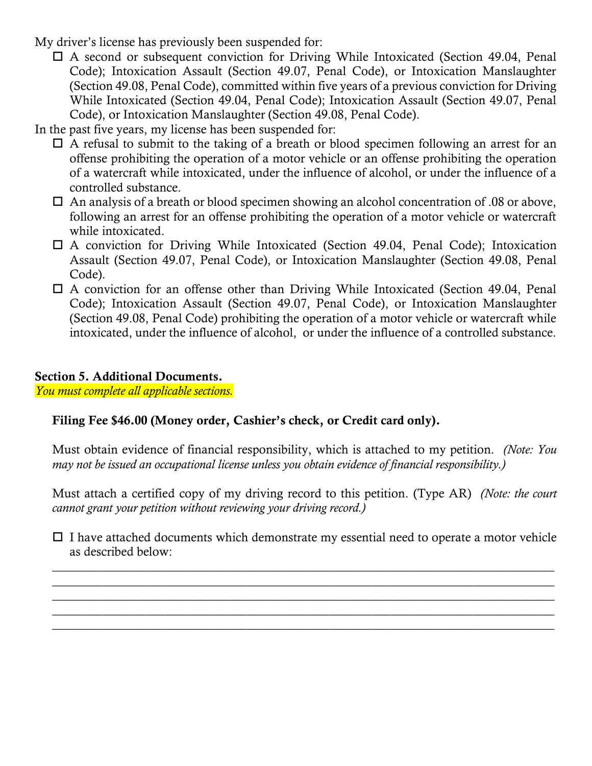- My driver's license has previously been suspended for:
	- A second or subsequent conviction for Driving While Intoxicated (Section 49.04, Penal Code); Intoxication Assault (Section 49.07, Penal Code), or Intoxication Manslaughter (Section 49.08, Penal Code), committed within five years of a previous conviction for Driving While Intoxicated (Section 49.04, Penal Code); Intoxication Assault (Section 49.07, Penal Code), or Intoxication Manslaughter (Section 49.08, Penal Code).
- In the past five years, my license has been suspended for:
	- $\Box$  A refusal to submit to the taking of a breath or blood specimen following an arrest for an offense prohibiting the operation of a motor vehicle or an offense prohibiting the operation of a watercraft while intoxicated, under the influence of alcohol, or under the influence of a controlled substance.
	- $\Box$  An analysis of a breath or blood specimen showing an alcohol concentration of .08 or above, following an arrest for an offense prohibiting the operation of a motor vehicle or watercraft while intoxicated.
	- $\Box$  A conviction for Driving While Intoxicated (Section 49.04, Penal Code); Intoxication Assault (Section 49.07, Penal Code), or Intoxication Manslaughter (Section 49.08, Penal Code).
	- $\Box$  A conviction for an offense other than Driving While Intoxicated (Section 49.04, Penal Code); Intoxication Assault (Section 49.07, Penal Code), or Intoxication Manslaughter (Section 49.08, Penal Code) prohibiting the operation of a motor vehicle or watercraft while intoxicated, under the influence of alcohol, or under the influence of a controlled substance.

### Section 5. Additional Documents.

*You must complete all applicable sections.*

# Filing Fee \$46.00 (Money order, Cashier's check, or Credit card only).

Must obtain evidence of financial responsibility, which is attached to my petition. *(Note: You may not be issued an occupational license unless you obtain evidence of financial responsibility.)*

Must attach a certified copy of my driving record to this petition. (Type AR) *(Note: the court cannot grant your petition without reviewing your driving record.)*

 $\Box$  I have attached documents which demonstrate my essential need to operate a motor vehicle as described below:

 $\mathcal{L}_\mathcal{L} = \{ \mathcal{L}_\mathcal{L} = \{ \mathcal{L}_\mathcal{L} = \{ \mathcal{L}_\mathcal{L} = \{ \mathcal{L}_\mathcal{L} = \{ \mathcal{L}_\mathcal{L} = \{ \mathcal{L}_\mathcal{L} = \{ \mathcal{L}_\mathcal{L} = \{ \mathcal{L}_\mathcal{L} = \{ \mathcal{L}_\mathcal{L} = \{ \mathcal{L}_\mathcal{L} = \{ \mathcal{L}_\mathcal{L} = \{ \mathcal{L}_\mathcal{L} = \{ \mathcal{L}_\mathcal{L} = \{ \mathcal{L}_\mathcal{$  $\mathcal{L}_\mathcal{L} = \{ \mathcal{L}_\mathcal{L} = \{ \mathcal{L}_\mathcal{L} = \{ \mathcal{L}_\mathcal{L} = \{ \mathcal{L}_\mathcal{L} = \{ \mathcal{L}_\mathcal{L} = \{ \mathcal{L}_\mathcal{L} = \{ \mathcal{L}_\mathcal{L} = \{ \mathcal{L}_\mathcal{L} = \{ \mathcal{L}_\mathcal{L} = \{ \mathcal{L}_\mathcal{L} = \{ \mathcal{L}_\mathcal{L} = \{ \mathcal{L}_\mathcal{L} = \{ \mathcal{L}_\mathcal{L} = \{ \mathcal{L}_\mathcal{$  $\mathcal{L}_\mathcal{L} = \{ \mathcal{L}_\mathcal{L} = \{ \mathcal{L}_\mathcal{L} = \{ \mathcal{L}_\mathcal{L} = \{ \mathcal{L}_\mathcal{L} = \{ \mathcal{L}_\mathcal{L} = \{ \mathcal{L}_\mathcal{L} = \{ \mathcal{L}_\mathcal{L} = \{ \mathcal{L}_\mathcal{L} = \{ \mathcal{L}_\mathcal{L} = \{ \mathcal{L}_\mathcal{L} = \{ \mathcal{L}_\mathcal{L} = \{ \mathcal{L}_\mathcal{L} = \{ \mathcal{L}_\mathcal{L} = \{ \mathcal{L}_\mathcal{$  $\mathcal{L}_\mathcal{L} = \{ \mathcal{L}_\mathcal{L} = \{ \mathcal{L}_\mathcal{L} = \{ \mathcal{L}_\mathcal{L} = \{ \mathcal{L}_\mathcal{L} = \{ \mathcal{L}_\mathcal{L} = \{ \mathcal{L}_\mathcal{L} = \{ \mathcal{L}_\mathcal{L} = \{ \mathcal{L}_\mathcal{L} = \{ \mathcal{L}_\mathcal{L} = \{ \mathcal{L}_\mathcal{L} = \{ \mathcal{L}_\mathcal{L} = \{ \mathcal{L}_\mathcal{L} = \{ \mathcal{L}_\mathcal{L} = \{ \mathcal{L}_\mathcal{$  $\mathcal{L}_\mathcal{L} = \{ \mathcal{L}_\mathcal{L} = \{ \mathcal{L}_\mathcal{L} = \{ \mathcal{L}_\mathcal{L} = \{ \mathcal{L}_\mathcal{L} = \{ \mathcal{L}_\mathcal{L} = \{ \mathcal{L}_\mathcal{L} = \{ \mathcal{L}_\mathcal{L} = \{ \mathcal{L}_\mathcal{L} = \{ \mathcal{L}_\mathcal{L} = \{ \mathcal{L}_\mathcal{L} = \{ \mathcal{L}_\mathcal{L} = \{ \mathcal{L}_\mathcal{L} = \{ \mathcal{L}_\mathcal{L} = \{ \mathcal{L}_\mathcal{$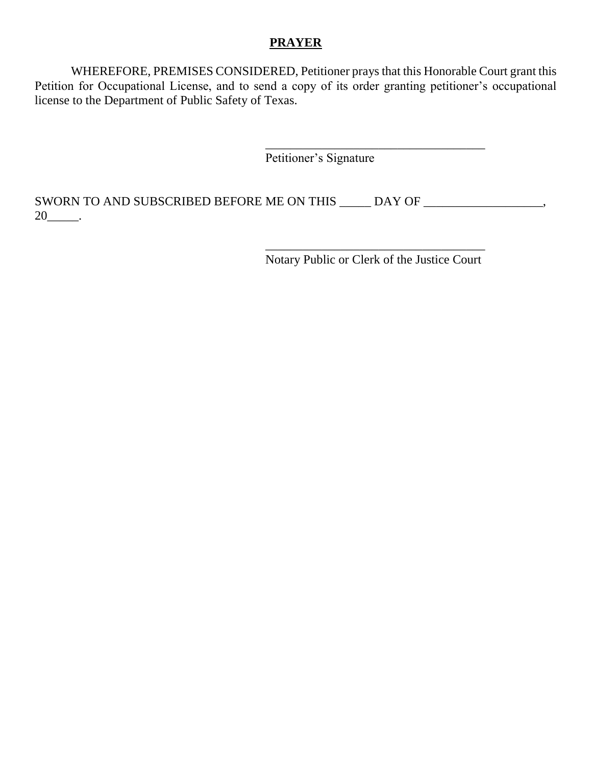#### **PRAYER**

WHEREFORE, PREMISES CONSIDERED, Petitioner prays that this Honorable Court grant this Petition for Occupational License, and to send a copy of its order granting petitioner's occupational license to the Department of Public Safety of Texas.

Petitioner's Signature

SWORN TO AND SUBSCRIBED BEFORE ME ON THIS \_\_\_\_\_ DAY OF \_\_\_\_\_\_\_\_\_\_\_\_\_\_\_\_\_, 20\_\_\_\_\_.

> \_\_\_\_\_\_\_\_\_\_\_\_\_\_\_\_\_\_\_\_\_\_\_\_\_\_\_\_\_\_\_\_\_\_\_ Notary Public or Clerk of the Justice Court

> \_\_\_\_\_\_\_\_\_\_\_\_\_\_\_\_\_\_\_\_\_\_\_\_\_\_\_\_\_\_\_\_\_\_\_